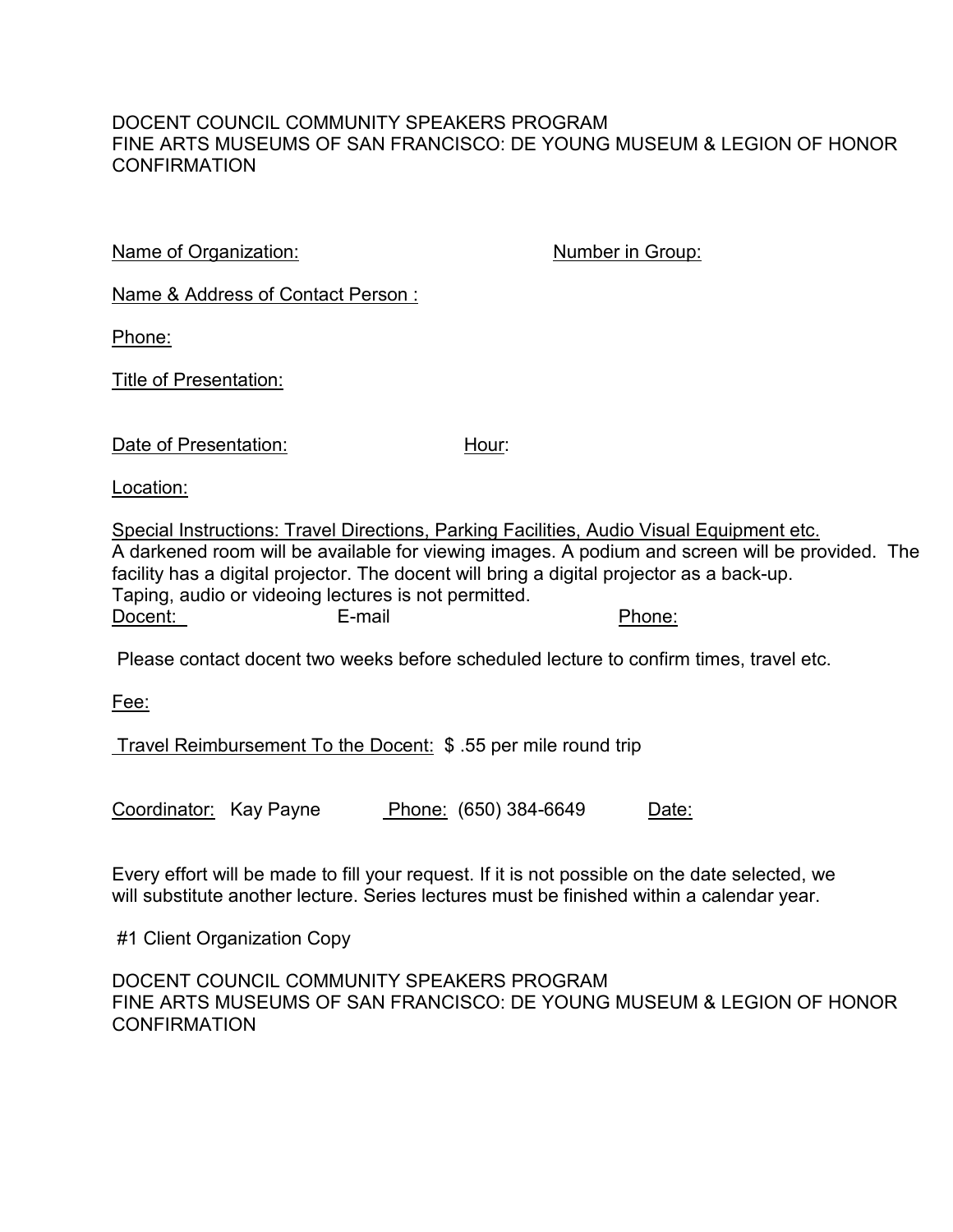## DOCENT COUNCIL COMMUNITY SPEAKERS PROGRAM FINE ARTS MUSEUMS OF SAN FRANCISCO: DE YOUNG MUSEUM & LEGION OF HONOR **CONFIRMATION**

Name of Organization: Number in Group:

Name & Address of Contact Person :

Phone:

Title of Presentation:

| Date of Presentation: |  |
|-----------------------|--|
|                       |  |

Location:

Special Instructions: Travel Directions, Parking Facilities, Audio Visual Equipment etc. A darkened room will be available for viewing images. A podium and screen will be provided. The facility has a digital projector. The docent will bring a digital projector as a back-up. Taping, audio or videoing lectures is not permitted.<br>Docent: E-mail Docent: E-mail E-mail Phone:

Please contact docent two weeks before scheduled lecture to confirm times, travel etc.

Hour:

Fee:

Travel Reimbursement To the Docent: \$ .55 per mile round trip

Coordinator: Kay Payne Phone: (650) 384-6649 Date:

Every effort will be made to fill your request. If it is not possible on the date selected, we will substitute another lecture. Series lectures must be finished within a calendar year.

#1 Client Organization Copy

DOCENT COUNCIL COMMUNITY SPEAKERS PROGRAM FINE ARTS MUSEUMS OF SAN FRANCISCO: DE YOUNG MUSEUM & LEGION OF HONOR **CONFIRMATION**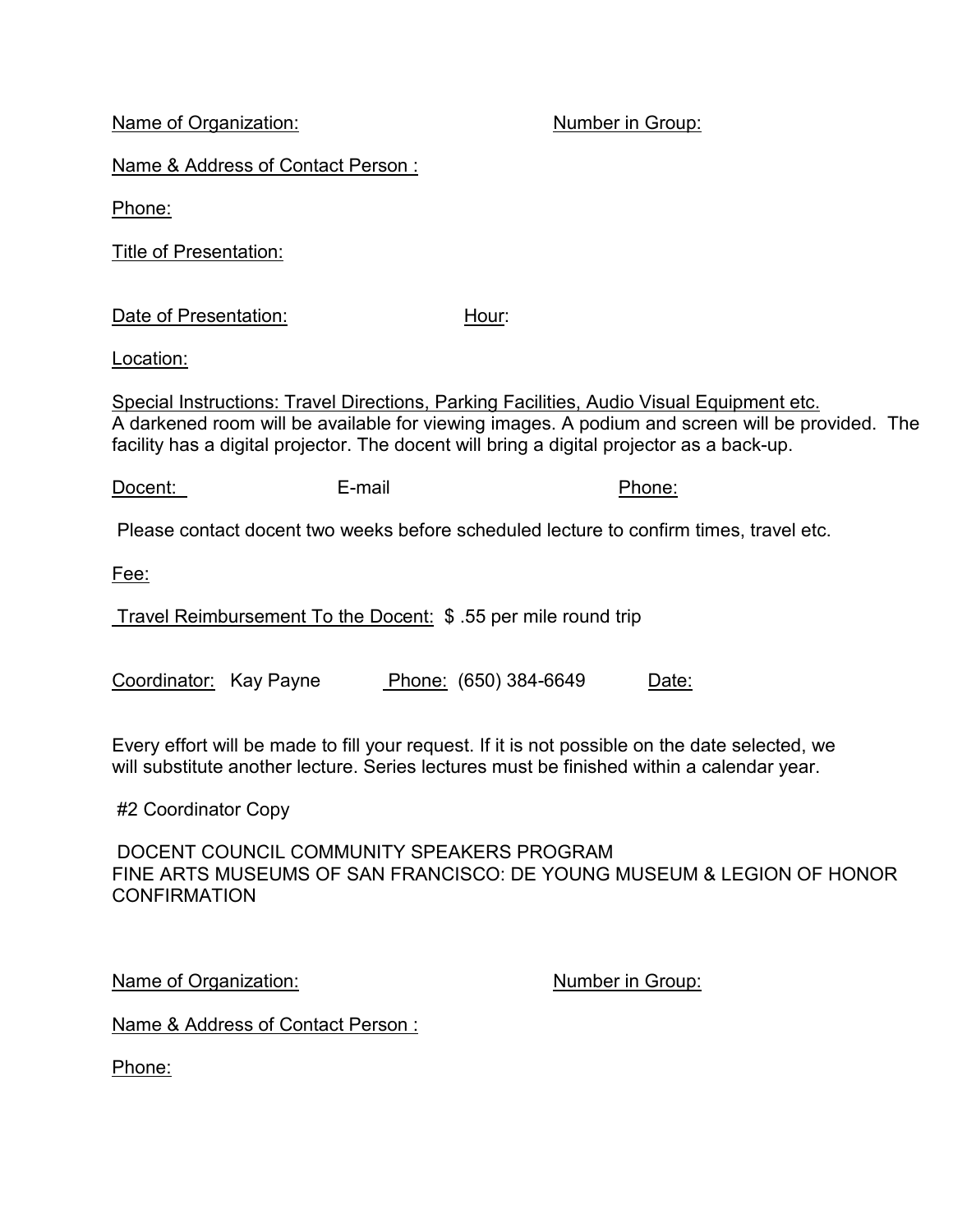Name of Organization: Number in Group:

Name & Address of Contact Person :

Phone:

Title of Presentation:

Date of Presentation: Hour:

Location:

Special Instructions: Travel Directions, Parking Facilities, Audio Visual Equipment etc. A darkened room will be available for viewing images. A podium and screen will be provided. The facility has a digital projector. The docent will bring a digital projector as a back-up.

Docent: E-mail E-mail Phone:

Please contact docent two weeks before scheduled lecture to confirm times, travel etc.

Fee:

Travel Reimbursement To the Docent: \$ .55 per mile round trip

Coordinator: Kay Payne Phone: (650) 384-6649 Date:

Every effort will be made to fill your request. If it is not possible on the date selected, we will substitute another lecture. Series lectures must be finished within a calendar year.

#2 Coordinator Copy

DOCENT COUNCIL COMMUNITY SPEAKERS PROGRAM FINE ARTS MUSEUMS OF SAN FRANCISCO: DE YOUNG MUSEUM & LEGION OF HONOR CONFIRMATION

Name of Organization: Number in Group:

Name & Address of Contact Person :

Phone: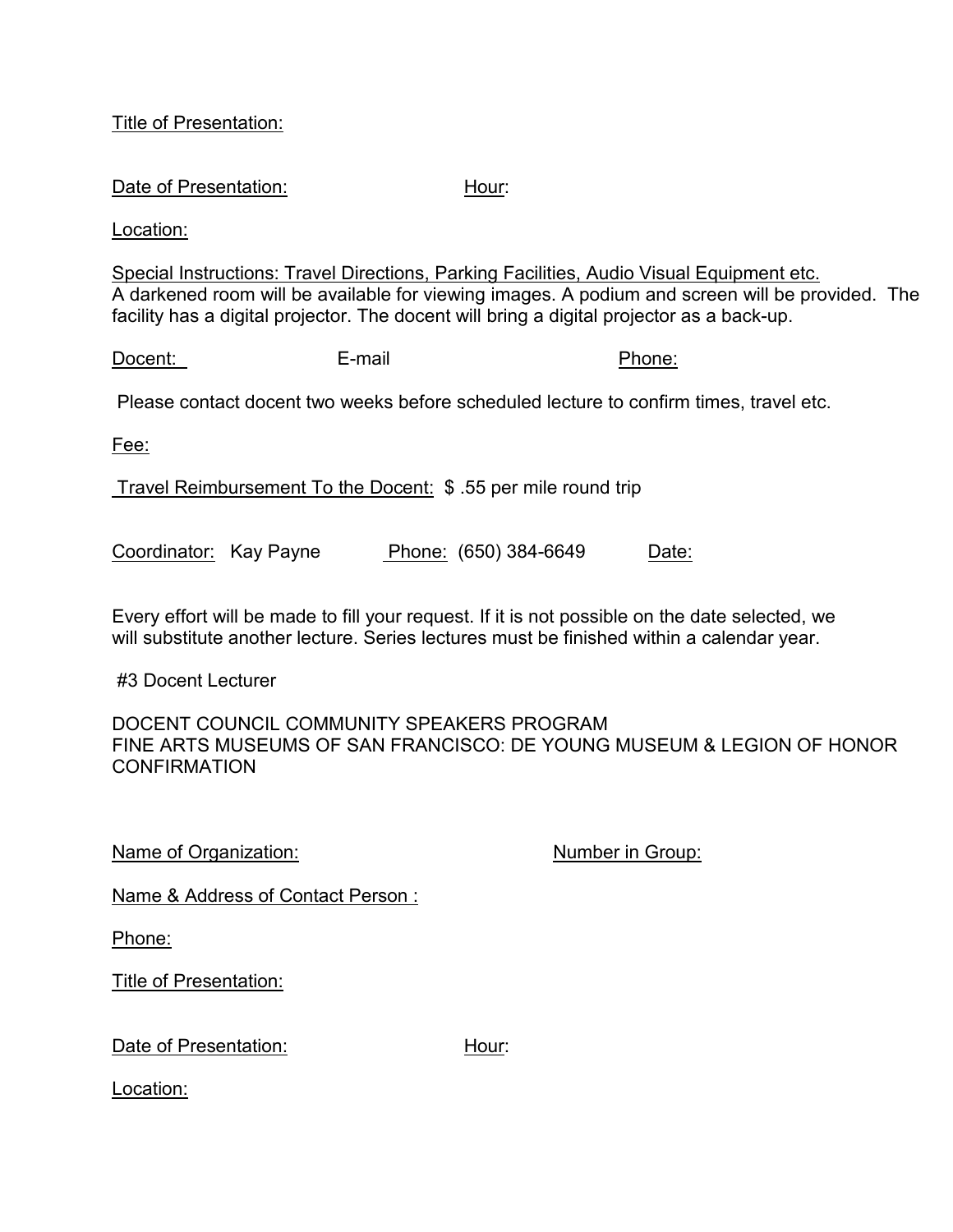## Title of Presentation:

## Date of Presentation: Hour:

Location:

Special Instructions: Travel Directions, Parking Facilities, Audio Visual Equipment etc. A darkened room will be available for viewing images. A podium and screen will be provided. The facility has a digital projector. The docent will bring a digital projector as a back-up.

Docent: E-mail E-mail Phone:

Please contact docent two weeks before scheduled lecture to confirm times, travel etc.

Fee:

Travel Reimbursement To the Docent: \$ .55 per mile round trip

Coordinator: Kay Payne Phone: (650) 384-6649 Date:

Every effort will be made to fill your request. If it is not possible on the date selected, we will substitute another lecture. Series lectures must be finished within a calendar year.

#3 Docent Lecturer

DOCENT COUNCIL COMMUNITY SPEAKERS PROGRAM FINE ARTS MUSEUMS OF SAN FRANCISCO: DE YOUNG MUSEUM & LEGION OF HONOR **CONFIRMATION** 

Name of Organization: Number in Group:

Name & Address of Contact Person :

Phone:

Title of Presentation:

Date of Presentation: Hour:

Location: